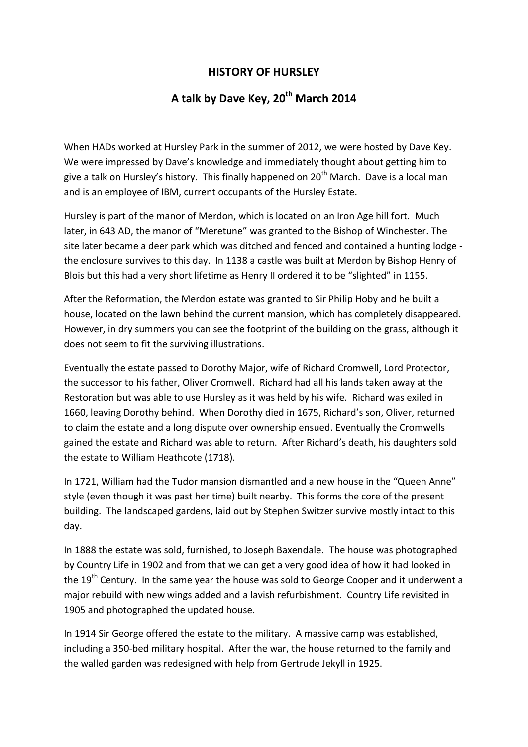## **HISTORY OF HURSLEY**

## **A talk by Dave Key, 20th March 2014**

When HADs worked at Hursley Park in the summer of 2012, we were hosted by Dave Key. We were impressed by Dave's knowledge and immediately thought about getting him to give a talk on Hursley's history. This finally happened on 20<sup>th</sup> March. Dave is a local man and is an employee of IBM, current occupants of the Hursley Estate.

Hursley is part of the manor of Merdon, which is located on an Iron Age hill fort. Much later, in 643 AD, the manor of "Meretune" was granted to the Bishop of Winchester. The site later became a deer park which was ditched and fenced and contained a hunting lodge the enclosure survives to this day. In 1138 a castle was built at Merdon by Bishop Henry of Blois but this had a very short lifetime as Henry II ordered it to be "slighted" in 1155.

After the Reformation, the Merdon estate was granted to Sir Philip Hoby and he built a house, located on the lawn behind the current mansion, which has completely disappeared. However, in dry summers you can see the footprint of the building on the grass, although it does not seem to fit the surviving illustrations.

Eventually the estate passed to Dorothy Major, wife of Richard Cromwell, Lord Protector, the successor to his father, Oliver Cromwell. Richard had all his lands taken away at the Restoration but was able to use Hursley as it was held by his wife. Richard was exiled in 1660, leaving Dorothy behind. When Dorothy died in 1675, Richard's son, Oliver, returned to claim the estate and a long dispute over ownership ensued. Eventually the Cromwells gained the estate and Richard was able to return. After Richard's death, his daughters sold the estate to William Heathcote (1718).

In 1721, William had the Tudor mansion dismantled and a new house in the "Queen Anne" style (even though it was past her time) built nearby. This forms the core of the present building. The landscaped gardens, laid out by Stephen Switzer survive mostly intact to this day.

In 1888 the estate was sold, furnished, to Joseph Baxendale. The house was photographed by Country Life in 1902 and from that we can get a very good idea of how it had looked in the 19<sup>th</sup> Century. In the same year the house was sold to George Cooper and it underwent a major rebuild with new wings added and a lavish refurbishment. Country Life revisited in 1905 and photographed the updated house.

In 1914 Sir George offered the estate to the military. A massive camp was established, including a 350-bed military hospital. After the war, the house returned to the family and the walled garden was redesigned with help from Gertrude Jekyll in 1925.